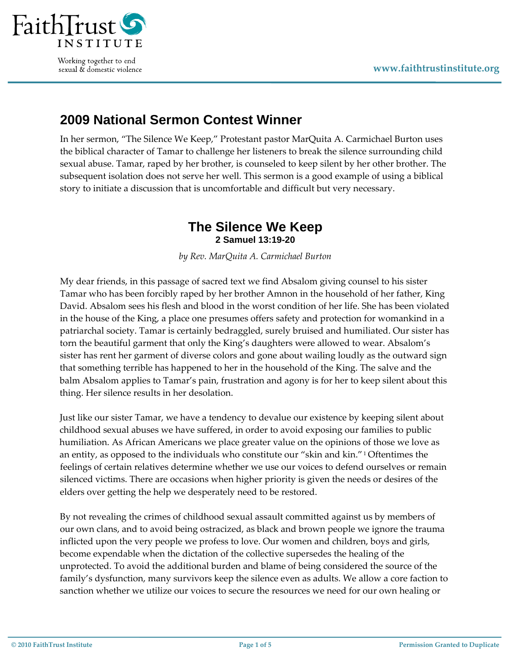

Working together to end sexual & domestic violence

## **2009 National Sermon Contest Winner**

In her sermon, "The Silence We Keep," Protestant pastor MarQuita A. Carmichael Burton uses the biblical character of Tamar to challenge her listeners to break the silence surrounding child sexual abuse. Tamar, raped by her brother, is counseled to keep silent by her other brother. The subsequent isolation does not serve her well. This sermon is a good example of using a biblical story to initiate a discussion that is uncomfortable and difficult but very necessary.

## **The Silence We Keep 2 Samuel 13:19-20**

*by Rev. MarQuita A. Carmichael Burton*

My dear friends, in this passage of sacred text we find Absalom giving counsel to his sister Tamar who has been forcibly raped by her brother Amnon in the household of her father, King David. Absalom sees his flesh and blood in the worst condition of her life. She has been violated in the house of the King, a place one presumes offers safety and protection for womankind in a patriarchal society. Tamar is certainly bedraggled, surely bruised and humiliated. Our sister has torn the beautiful garment that only the King's daughters were allowed to wear. Absalom's sister has rent her garment of diverse colors and gone about wailing loudly as the outward sign that something terrible has happened to her in the household of the King. The salve and the balm Absalom applies to Tamar's pain, frustration and agony is for her to keep silent about this thing. Her silence results in her desolation.

Just like our sister Tamar, we have a tendency to devalue our existence by keeping silent about childhood sexual abuses we have suffered, in order to avoid exposing our families to public humiliation. As African Americans we place greater value on the opinions of those we love as an entity, as opposed to the individuals who constitute our "skin and kin."[1](#page-4-0) Oftentimes the feelings of certain relatives determine whether we use our voices to defend ourselves or remain silenced victims. There are occasions when higher priority is given the needs or desires of the elders over getting the help we desperately need to be restored.

By not revealing the crimes of childhood sexual assault committed against us by members of our own clans, and to avoid being ostracized, as black and brown people we ignore the trauma inflicted upon the very people we profess to love. Our women and children, boys and girls, become expendable when the dictation of the collective supersedes the healing of the unprotected. To avoid the additional burden and blame of being considered the source of the family's dysfunction, many survivors keep the silence even as adults. We allow a core faction to sanction whether we utilize our voices to secure the resources we need for our own healing or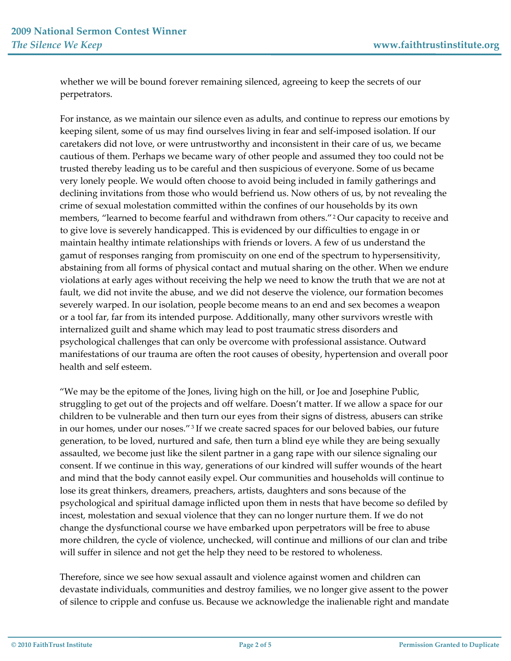whether we will be bound forever remaining silenced, agreeing to keep the secrets of our perpetrators.

For instance, as we maintain our silence even as adults, and continue to repress our emotions by keeping silent, some of us may find ourselves living in fear and self-imposed isolation. If our caretakers did not love, or were untrustworthy and inconsistent in their care of us, we became cautious of them. Perhaps we became wary of other people and assumed they too could not be trusted thereby leading us to be careful and then suspicious of everyone. Some of us became very lonely people. We would often choose to avoid being included in family gatherings and declining invitations from those who would befriend us. Now others of us, by not revealing the crime of sexual molestation committed within the confines of our households by its own members, "learned to become fearful and withdrawn from others."[2](#page-4-0) Our capacity to receive and to give love is severely handicapped. This is evidenced by our difficulties to engage in or maintain healthy intimate relationships with friends or lovers. A few of us understand the gamut of responses ranging from promiscuity on one end of the spectrum to hypersensitivity, abstaining from all forms of physical contact and mutual sharing on the other. When we endure violations at early ages without receiving the help we need to know the truth that we are not at fault, we did not invite the abuse, and we did not deserve the violence, our formation becomes severely warped. In our isolation, people become means to an end and sex becomes a weapon or a tool far, far from its intended purpose. Additionally, many other survivors wrestle with internalized guilt and shame which may lead to post traumatic stress disorders and psychological challenges that can only be overcome with professional assistance. Outward manifestations of our trauma are often the root causes of obesity, hypertension and overall poor health and self esteem.

"We may be the epitome of the Jones, living high on the hill, or Joe and Josephine Public, struggling to get out of the projects and off welfare. Doesn't matter. If we allow a space for our children to be vulnerable and then turn our eyes from their signs of distress, abusers can strike in our homes, under our noses."<sup>[3](#page-4-0)</sup> If we create sacred spaces for our beloved babies, our future generation, to be loved, nurtured and safe, then turn a blind eye while they are being sexually assaulted, we become just like the silent partner in a gang rape with our silence signaling our consent. If we continue in this way, generations of our kindred will suffer wounds of the heart and mind that the body cannot easily expel. Our communities and households will continue to lose its great thinkers, dreamers, preachers, artists, daughters and sons because of the psychological and spiritual damage inflicted upon them in nests that have become so defiled by incest, molestation and sexual violence that they can no longer nurture them. If we do not change the dysfunctional course we have embarked upon perpetrators will be free to abuse more children, the cycle of violence, unchecked, will continue and millions of our clan and tribe will suffer in silence and not get the help they need to be restored to wholeness.

Therefore, since we see how sexual assault and violence against women and children can devastate individuals, communities and destroy families, we no longer give assent to the power of silence to cripple and confuse us. Because we acknowledge the inalienable right and mandate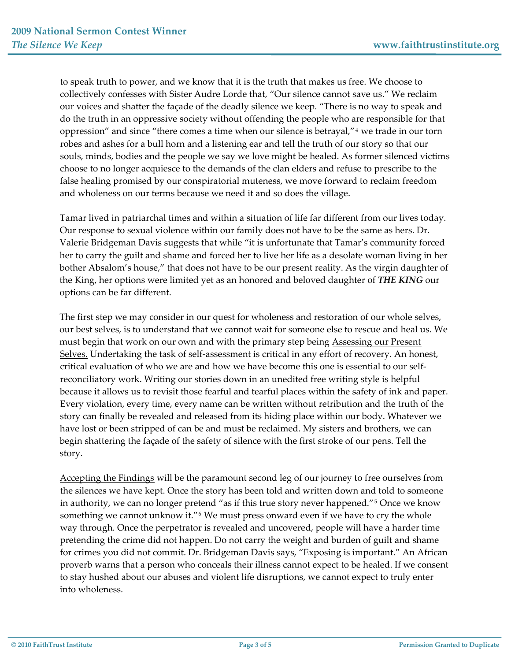to speak truth to power, and we know that it is the truth that makes us free. We choose to collectively confesses with Sister Audre Lorde that, "Our silence cannot save us." We reclaim our voices and shatter the façade of the deadly silence we keep. "There is no way to speak and do the truth in an oppressive society without offending the people who are responsible for that oppression" and since "there comes a time when our silence is betrayal,"[4](#page-4-0) we trade in our torn robes and ashes for a bull horn and a listening ear and tell the truth of our story so that our souls, minds, bodies and the people we say we love might be healed. As former silenced victims choose to no longer acquiesce to the demands of the clan elders and refuse to prescribe to the false healing promised by our conspiratorial muteness, we move forward to reclaim freedom and wholeness on our terms because we need it and so does the village.

Tamar lived in patriarchal times and within a situation of life far different from our lives today. Our response to sexual violence within our family does not have to be the same as hers. Dr. Valerie Bridgeman Davis suggests that while "it is unfortunate that Tamar's community forced her to carry the guilt and shame and forced her to live her life as a desolate woman living in her bother Absalom's house," that does not have to be our present reality. As the virgin daughter of the King, her options were limited yet as an honored and beloved daughter of *THE KING* our options can be far different.

The first step we may consider in our quest for wholeness and restoration of our whole selves, our best selves, is to understand that we cannot wait for someone else to rescue and heal us. We must begin that work on our own and with the primary step being Assessing our Present Selves. Undertaking the task of self-assessment is critical in any effort of recovery. An honest, critical evaluation of who we are and how we have become this one is essential to our self‐ reconciliatory work. Writing our stories down in an unedited free writing style is helpful because it allows us to revisit those fearful and tearful places within the safety of ink and paper. Every violation, every time, every name can be written without retribution and the truth of the story can finally be revealed and released from its hiding place within our body. Whatever we have lost or been stripped of can be and must be reclaimed. My sisters and brothers, we can begin shattering the façade of the safety of silence with the first stroke of our pens. Tell the story.

Accepting the Findings will be the paramount second leg of our journey to free ourselves from the silences we have kept. Once the story has been told and written down and told to someone in authority, we can no longer pretend "as if this true story never happened."[5](#page-4-0) Once we know something we cannot unknow it."<sup>[6](#page-4-0)</sup> We must press onward even if we have to cry the whole way through. Once the perpetrator is revealed and uncovered, people will have a harder time pretending the crime did not happen. Do not carry the weight and burden of guilt and shame for crimes you did not commit. Dr. Bridgeman Davis says, "Exposing is important." An African proverb warns that a person who conceals their illness cannot expect to be healed. If we consent to stay hushed about our abuses and violent life disruptions, we cannot expect to truly enter into wholeness.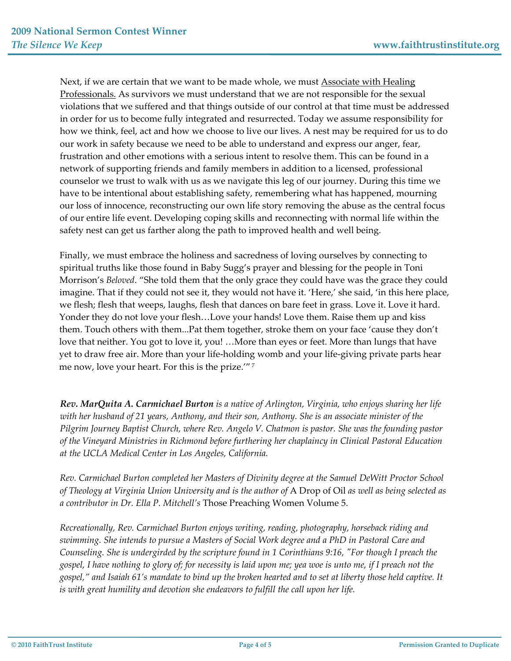Next, if we are certain that we want to be made whole, we must Associate with Healing Professionals. As survivors we must understand that we are not responsible for the sexual violations that we suffered and that things outside of our control at that time must be addressed in order for us to become fully integrated and resurrected. Today we assume responsibility for how we think, feel, act and how we choose to live our lives. A nest may be required for us to do our work in safety because we need to be able to understand and express our anger, fear, frustration and other emotions with a serious intent to resolve them. This can be found in a network of supporting friends and family members in addition to a licensed, professional counselor we trust to walk with us as we navigate this leg of our journey. During this time we have to be intentional about establishing safety, remembering what has happened, mourning our loss of innocence, reconstructing our own life story removing the abuse as the central focus of our entire life event. Developing coping skills and reconnecting with normal life within the safety nest can get us farther along the path to improved health and well being.

Finally, we must embrace the holiness and sacredness of loving ourselves by connecting to spiritual truths like those found in Baby Sugg's prayer and blessing for the people in Toni Morrison's *Beloved*. "She told them that the only grace they could have was the grace they could imagine. That if they could not see it, they would not have it. 'Here,' she said, 'in this here place, we flesh; flesh that weeps, laughs, flesh that dances on bare feet in grass. Love it. Love it hard. Yonder they do not love your flesh…Love your hands! Love them. Raise them up and kiss them. Touch others with them...Pat them together, stroke them on your face 'cause they don't love that neither. You got to love it, you! …More than eyes or feet. More than lungs that have yet to draw free air. More than your life‐holding womb and your life‐giving private parts hear me now, love your heart. For this is the prize.'" [7](#page-4-0)

*Rev. MarQuita A. Carmichael Burton is a native of Arlington, Virginia, who enjoys sharing her life with her husband of 21 years, Anthony, and their son, Anthony. She is an associate minister of the Pilgrim Journey Baptist Church, where Rev. Angelo V. Chatmon is pastor. She was the founding pastor of the Vineyard Ministries in Richmond before furthering her chaplaincy in Clinical Pastoral Education at the UCLA Medical Center in Los Angeles, California.* 

*Rev. Carmichael Burton completed her Masters of Divinity degree at the Samuel DeWitt Proctor School of Theology at Virginia Union University and is the author of* A Drop of Oil *as well as being selected as a contributor in Dr. Ella P. Mitchell's* Those Preaching Women Volume 5.

*Recreationally, Rev. Carmichael Burton enjoys writing, reading, photography, horseback riding and swimming. She intends to pursue a Masters of Social Work degree and a PhD in Pastoral Care and* Counseling. She is undergirded by the scripture found in 1 Corinthians 9:16, "For though I preach the gospel, I have nothing to glory of; for necessity is laid upon me; yea woe is unto me, if I preach not the gospel," and Isaiah 61's mandate to bind up the broken hearted and to set at liberty those held captive. It *is with great humility and devotion she endeavors to fulfill the call upon her life.*